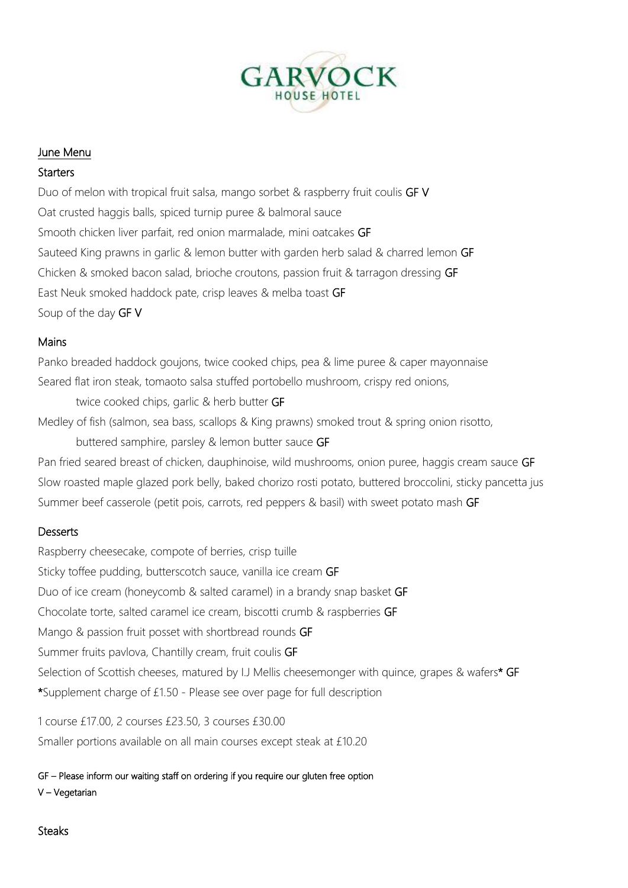

# June Menu

## **Starters**

Duo of melon with tropical fruit salsa, mango sorbet & raspberry fruit coulis GF V Oat crusted haggis balls, spiced turnip puree & balmoral sauce Smooth chicken liver parfait, red onion marmalade, mini oatcakes GF Sauteed King prawns in garlic & lemon butter with garden herb salad & charred lemon GF Chicken & smoked bacon salad, brioche croutons, passion fruit & tarragon dressing GF East Neuk smoked haddock pate, crisp leaves & melba toast GF Soup of the day GF V

## Mains

Panko breaded haddock goujons, twice cooked chips, pea & lime puree & caper mayonnaise Seared flat iron steak, tomaoto salsa stuffed portobello mushroom, crispy red onions,

twice cooked chips, garlic & herb butter GF Medley of fish (salmon, sea bass, scallops & King prawns) smoked trout & spring onion risotto, buttered samphire, parsley & lemon butter sauce GF

Pan fried seared breast of chicken, dauphinoise, wild mushrooms, onion puree, haggis cream sauce GF Slow roasted maple glazed pork belly, baked chorizo rosti potato, buttered broccolini, sticky pancetta jus Summer beef casserole (petit pois, carrots, red peppers & basil) with sweet potato mash GF

## **Desserts**

Raspberry cheesecake, compote of berries, crisp tuille Sticky toffee pudding, butterscotch sauce, vanilla ice cream GF Duo of ice cream (honeycomb & salted caramel) in a brandy snap basket GF Chocolate torte, salted caramel ice cream, biscotti crumb & raspberries GF Mango & passion fruit posset with shortbread rounds GF Summer fruits pavlova, Chantilly cream, fruit coulis GF Selection of Scottish cheeses, matured by I.J Mellis cheesemonger with quince, grapes & wafers\* GF \*Supplement charge of £1.50 - Please see over page for full description

1 course £17.00, 2 courses £23.50, 3 courses £30.00 Smaller portions available on all main courses except steak at £10.20

GF – Please inform our waiting staff on ordering if you require our gluten free option

V – Vegetarian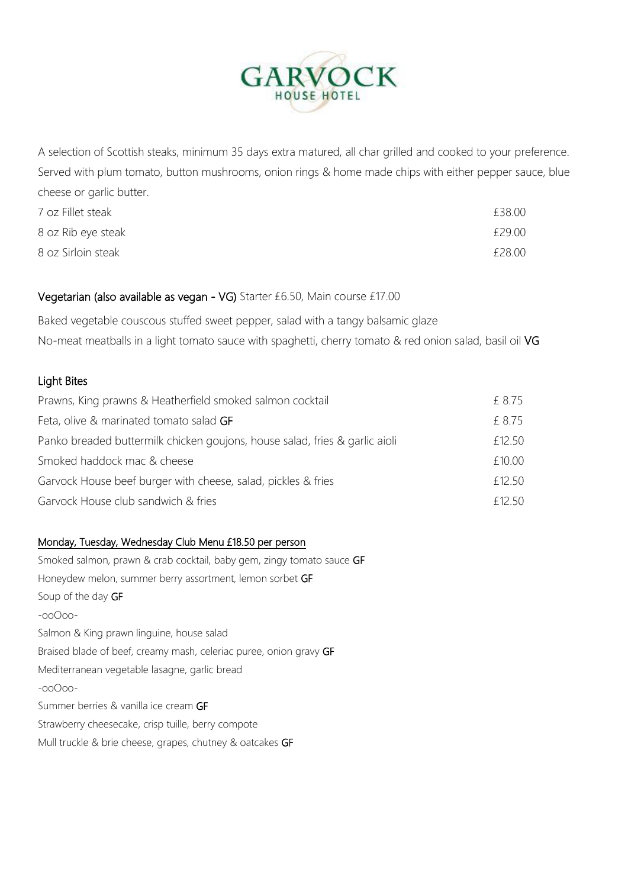

A selection of Scottish steaks, minimum 35 days extra matured, all char grilled and cooked to your preference. Served with plum tomato, button mushrooms, onion rings & home made chips with either pepper sauce, blue cheese or garlic butter.

| 7 oz Fillet steak  | £38.00 |
|--------------------|--------|
| 8 oz Rib eye steak | £29.00 |
| 8 oz Sirloin steak | £28.00 |

#### Vegetarian (also available as vegan - VG) Starter £6.50, Main course £17.00

Baked vegetable couscous stuffed sweet pepper, salad with a tangy balsamic glaze No-meat meatballs in a light tomato sauce with spaghetti, cherry tomato & red onion salad, basil oil VG

### Light Bites

| Prawns, King prawns & Heatherfield smoked salmon cocktail                   | £ 8.75 |
|-----------------------------------------------------------------------------|--------|
| Feta, olive & marinated tomato salad GF                                     | £ 8.75 |
| Panko breaded buttermilk chicken goujons, house salad, fries & garlic aioli | £12.50 |
| Smoked haddock mac & cheese                                                 | £10.00 |
| Garvock House beef burger with cheese, salad, pickles & fries               | £12.50 |
| Garvock House club sandwich & fries                                         | £12.50 |

#### Monday, Tuesday, Wednesday Club Menu £18.50 per person

Smoked salmon, prawn & crab cocktail, baby gem, zingy tomato sauce GF Honeydew melon, summer berry assortment, lemon sorbet GF Soup of the day GF -ooOoo-Salmon & King prawn linguine, house salad Braised blade of beef, creamy mash, celeriac puree, onion gravy GF Mediterranean vegetable lasagne, garlic bread -ooOoo-Summer berries & vanilla ice cream GF Strawberry cheesecake, crisp tuille, berry compote Mull truckle & brie cheese, grapes, chutney & oatcakes GF